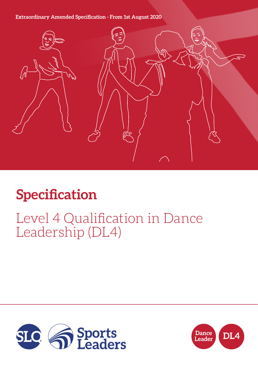### **Extraordinary Amended Specification - From 1st August 2020**



# **Specification**

## Level 4 Qualification in Dance Leadership (DL4)



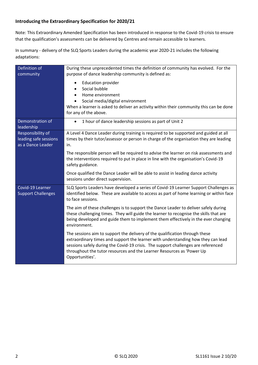#### **Introducing the Extraordinary Specification for 2020/21**

Note: This Extraordinary Amended Specification has been introduced in response to the Covid-19 crisis to ensure that the qualification's assessments can be delivered by Centres and remain accessible to learners.

In summary - delivery of the SLQ Sports Leaders during the academic year 2020-21 includes the following adaptations:

| Definition of<br>community                                      | During these unprecedented times the definition of community has evolved. For the<br>purpose of dance leadership community is defined as:                                                                                                                                                                                                        |  |  |
|-----------------------------------------------------------------|--------------------------------------------------------------------------------------------------------------------------------------------------------------------------------------------------------------------------------------------------------------------------------------------------------------------------------------------------|--|--|
|                                                                 | <b>Education provider</b><br>$\bullet$<br>Social bubble<br>Home environment<br>Social media/digital environment<br>When a learner is asked to deliver an activity within their community this can be done<br>for any of the above.                                                                                                               |  |  |
| Demonstration of<br>leadership                                  | 1 hour of dance leadership sessions as part of Unit 2<br>$\bullet$                                                                                                                                                                                                                                                                               |  |  |
| Responsibility of<br>leading safe sessions<br>as a Dance Leader | A Level 4 Dance Leader during training is required to be supported and guided at all<br>times by their tutor/assessor or person in charge of the organisation they are leading<br>in.                                                                                                                                                            |  |  |
|                                                                 | The responsible person will be required to advise the learner on risk assessments and<br>the interventions required to put in place in line with the organisation's Covid-19<br>safety guidance.                                                                                                                                                 |  |  |
|                                                                 | Once qualified the Dance Leader will be able to assist in leading dance activity<br>sessions under direct supervision.                                                                                                                                                                                                                           |  |  |
| Covid-19 Learner<br><b>Support Challenges</b>                   | SLQ Sports Leaders have developed a series of Covid-19 Learner Support Challenges as<br>identified below. These are available to access as part of home learning or within face<br>to face sessions.                                                                                                                                             |  |  |
|                                                                 | The aim of these challenges is to support the Dance Leader to deliver safely during<br>these challenging times. They will guide the learner to recognise the skills that are<br>being developed and guide them to implement them effectively in the ever changing<br>environment.                                                                |  |  |
|                                                                 | The sessions aim to support the delivery of the qualification through these<br>extraordinary times and support the learner with understanding how they can lead<br>sessions safely during the Covid-19 crisis. The support challenges are referenced<br>throughout the tutor resources and the Learner Resources as 'Power Up<br>Opportunities'. |  |  |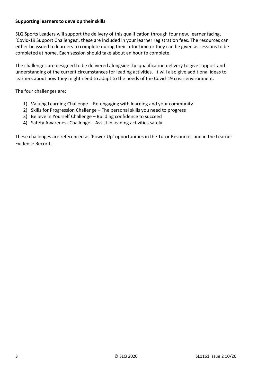#### **Supporting learners to develop their skills**

SLQ Sports Leaders will support the delivery of this qualification through four new, learner facing, 'Covid-19 Support Challenges', these are included in your learner registration fees. The resources can either be issued to learners to complete during their tutor time or they can be given as sessions to be completed at home. Each session should take about an hour to complete.

The challenges are designed to be delivered alongside the qualification delivery to give support and understanding of the current circumstances for leading activities. It will also give additional ideas to learners about how they might need to adapt to the needs of the Covid-19 crisis environment.

The four challenges are:

- 1) Valuing Learning Challenge Re-engaging with learning and your community
- 2) Skills for Progression Challenge The personal skills you need to progress
- 3) Believe in Yourself Challenge Building confidence to succeed
- 4) Safety Awareness Challenge Assist in leading activities safely

These challenges are referenced as 'Power Up' opportunities in the Tutor Resources and in the Learner Evidence Record.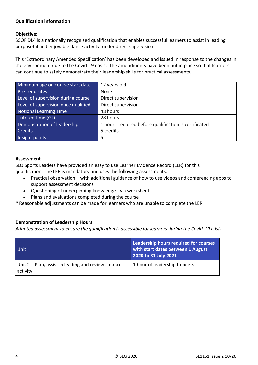#### **Qualification information**

#### **Objective:**

SCQF DL4 is a nationally recognised qualification that enables successful learners to assist in leading purposeful and enjoyable dance activity, under direct supervision.

This 'Extraordinary Amended Specification' has been developed and issued in response to the changes in the environment due to the Covid-19 crisis. The amendments have been put in place so that learners can continue to safely demonstrate their leadership skills for practical assessments.

| Minimum age on course start date    | 12 years old                                           |
|-------------------------------------|--------------------------------------------------------|
| Pre-requisites                      | None                                                   |
| Level of supervision during course  | Direct supervision                                     |
| Level of supervision once qualified | Direct supervision                                     |
| Notional Learning Time              | 48 hours                                               |
| Tutored time (GL)                   | 28 hours                                               |
| Demonstration of leadership         | 1 hour - required before qualification is certificated |
| <b>Credits</b>                      | 5 credits                                              |
| Insight points                      | 5                                                      |

#### **Assessment**

SLQ Sports Leaders have provided an easy to use Learner Evidence Record (LER) for this qualification. The LER is mandatory and uses the following assessments:

- Practical observation with additional guidance of how to use videos and conferencing apps to support assessment decisions
- Questioning of underpinning knowledge via worksheets
- Plans and evaluations completed during the course

\* Reasonable adjustments can be made for learners who are unable to complete the LER

#### **Demonstration of Leadership Hours**

*Adapted assessment to ensure the qualification is accessible for learners during the Covid-19 crisis.*

| Unit                                                              | Leadership hours required for courses<br>with start dates between 1 August<br>2020 to 31 July 2021 |
|-------------------------------------------------------------------|----------------------------------------------------------------------------------------------------|
| Unit $2$ – Plan, assist in leading and review a dance<br>activity | 1 hour of leadership to peers                                                                      |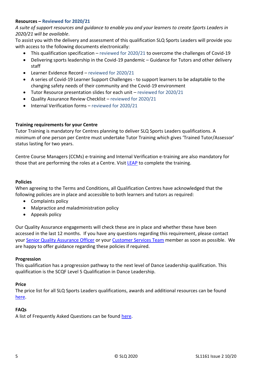#### **Resources – Reviewed for 2020/21**

*A suite of support resources and guidance to enable you and your learners to create Sports Leaders in 2020/21 will be available*.

To assist you with the delivery and assessment of this qualification SLQ Sports Leaders will provide you with access to the following documents electronically:

- This qualification specification reviewed for 2020/21 to overcome the challenges of Covid-19
- Delivering sports leadership in the Covid-19 pandemic Guidance for Tutors and other delivery staff
- Learner Evidence Record reviewed for 2020/21
- A series of Covid-19 Learner Support Challenges to support learners to be adaptable to the changing safety needs of their community and the Covid-19 environment
- Tutor Resource presentation slides for each unit reviewed for 2020/21
- Quality Assurance Review Checklist reviewed for 2020/21
- Internal Verification forms reviewed for 2020/21

#### **Training requirements for your Centre**

Tutor Training is mandatory for Centres planning to deliver SLQ Sports Leaders qualifications. A minimum of one person per Centre must undertake Tutor Training which gives 'Trained Tutor/Assessor' status lasting for two years.

Centre Course Managers (CCMs) e-training and Internal Verification e-training are also mandatory for those that are performing the roles at a Centre. Visi[t LEAP](https://leap.slqskills.org/training-menu/?def=1) to complete the training.

#### **Policies**

When agreeing to the Terms and Conditions, all Qualification Centres have acknowledged that the following policies are in place and accessible to both learners and tutors as required:

- Complaints policy
- Malpractice and maladministration policy
- Appeals policy

Our Quality Assurance engagements will check these are in place and whether these have been accessed in the last 12 months. If you have any questions regarding this requirement, please contact your [Senior Quality Assurance Officer](https://www.sportsleaders.org/about-us-1/meet-the-team-1) or your [Customer Services Team](https://www.sportsleaders.org/about-us-1/meet-the-team-1) member as soon as possible. We are happy to offer guidance regarding these policies if required.

#### **Progression**

This qualification has a progression pathway to the next level of Dance Leadership qualification. This qualification is the SCQF Level 5 Qualification in Dance Leadership.

#### **Price**

The price list for all SLQ Sports Leaders qualifications, awards and additional resources can be found [here.](https://www.sportsleaders.org/about-us-1/prices)

#### **FAQs**

A list of Frequently Asked Questions can be found [here.](https://www.sportsleaders.org/about-us-1/faqs)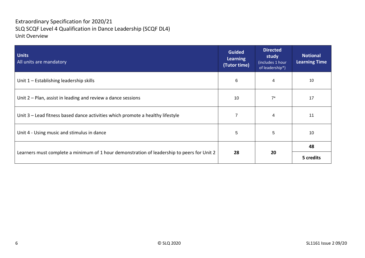## Extraordinary Specification for 2020/21 SLQ SCQF Level 4 Qualification in Dance Leadership (SCQF DL4) Unit Overview

| <b>Units</b><br>All units are mandatory                                                    | <b>Guided</b><br><b>Learning</b><br>(Tutor time) | <b>Directed</b><br>study<br>(includes 1 hour<br>of leadership*) | <b>Notional</b><br><b>Learning Time</b> |
|--------------------------------------------------------------------------------------------|--------------------------------------------------|-----------------------------------------------------------------|-----------------------------------------|
| Unit $1$ – Establishing leadership skills                                                  | 6                                                | 4                                                               | 10                                      |
| Unit $2$ – Plan, assist in leading and review a dance sessions                             | 10                                               | $7^*$                                                           | 17                                      |
| Unit 3 – Lead fitness based dance activities which promote a healthy lifestyle             |                                                  | 4                                                               | 11                                      |
| Unit 4 - Using music and stimulus in dance                                                 | 5                                                | 5                                                               | 10                                      |
|                                                                                            | 28                                               | 20                                                              | 48                                      |
| Learners must complete a minimum of 1 hour demonstration of leadership to peers for Unit 2 |                                                  |                                                                 | 5 credits                               |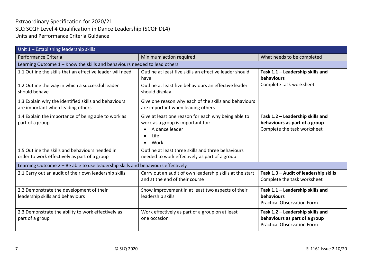## Extraordinary Specification for 2020/21 SLQ SCQF Level 4 Qualification in Dance Leadership (SCQF DL4) Units and Performance Criteria Guidance

| Unit 1 - Establishing leadership skills                                                         |                                                                                                                                         |                                                                                                        |  |  |
|-------------------------------------------------------------------------------------------------|-----------------------------------------------------------------------------------------------------------------------------------------|--------------------------------------------------------------------------------------------------------|--|--|
| Performance Criteria                                                                            | Minimum action required                                                                                                                 | What needs to be completed                                                                             |  |  |
|                                                                                                 | Learning Outcome 1 - Know the skills and behaviours needed to lead others                                                               |                                                                                                        |  |  |
| 1.1 Outline the skills that an effective leader will need                                       | Outline at least five skills an effective leader should<br>have                                                                         | Task 1.1 - Leadership skills and<br>behaviours                                                         |  |  |
| 1.2 Outline the way in which a successful leader<br>should behave                               | Outline at least five behaviours an effective leader<br>should display                                                                  | Complete task worksheet                                                                                |  |  |
| 1.3 Explain why the identified skills and behaviours<br>are important when leading others       | Give one reason why each of the skills and behaviours<br>are important when leading others                                              |                                                                                                        |  |  |
| 1.4 Explain the importance of being able to work as<br>part of a group                          | Give at least one reason for each why being able to<br>work as a group is important for:<br>A dance leader<br>Life<br>Work<br>$\bullet$ | Task 1.2 - Leadership skills and<br>behaviours as part of a group<br>Complete the task worksheet       |  |  |
| 1.5 Outline the skills and behaviours needed in<br>order to work effectively as part of a group | Outline at least three skills and three behaviours<br>needed to work effectively as part of a group                                     |                                                                                                        |  |  |
| Learning Outcome 2 - Be able to use leadership skills and behaviours effectively                |                                                                                                                                         |                                                                                                        |  |  |
| 2.1 Carry out an audit of their own leadership skills                                           | Carry out an audit of own leadership skills at the start<br>and at the end of their course                                              | Task 1.3 - Audit of leadership skills<br>Complete the task worksheet                                   |  |  |
| 2.2 Demonstrate the development of their<br>leadership skills and behaviours                    | Show improvement in at least two aspects of their<br>leadership skills                                                                  | Task 1.1 - Leadership skills and<br>behaviours<br><b>Practical Observation Form</b>                    |  |  |
| 2.3 Demonstrate the ability to work effectively as<br>part of a group                           | Work effectively as part of a group on at least<br>one occasion                                                                         | Task 1.2 - Leadership skills and<br>behaviours as part of a group<br><b>Practical Observation Form</b> |  |  |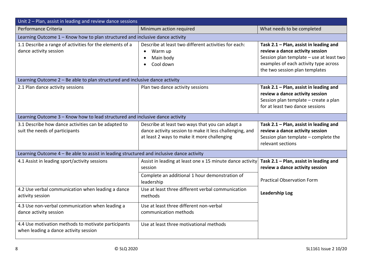| Unit 2 - Plan, assist in leading and review dance sessions                                   |                                                                                                                                                           |                                                                                                                                                                                                  |  |
|----------------------------------------------------------------------------------------------|-----------------------------------------------------------------------------------------------------------------------------------------------------------|--------------------------------------------------------------------------------------------------------------------------------------------------------------------------------------------------|--|
| Performance Criteria                                                                         | Minimum action required                                                                                                                                   | What needs to be completed                                                                                                                                                                       |  |
| Learning Outcome 1 - Know how to plan structured and inclusive dance activity                |                                                                                                                                                           |                                                                                                                                                                                                  |  |
| 1.1 Describe a range of activities for the elements of a<br>dance activity session           | Describe at least two different activities for each:<br>Warm up<br>Main body<br>Cool down                                                                 | Task 2.1 - Plan, assist in leading and<br>review a dance activity session<br>Session plan template - use at least two<br>examples of each activity type across<br>the two session plan templates |  |
| Learning Outcome 2 - Be able to plan structured and inclusive dance activity                 |                                                                                                                                                           |                                                                                                                                                                                                  |  |
| 2.1 Plan dance activity sessions                                                             | Plan two dance activity sessions                                                                                                                          | Task 2.1 - Plan, assist in leading and<br>review a dance activity session<br>Session plan template - create a plan<br>for at least two dance sessions                                            |  |
| Learning Outcome 3 - Know how to lead structured and inclusive dance activity                |                                                                                                                                                           |                                                                                                                                                                                                  |  |
| 3.1 Describe how dance activities can be adapted to<br>suit the needs of participants        | Describe at least two ways that you can adapt a<br>dance activity session to make it less challenging, and<br>at least 2 ways to make it more challenging | Task 2.1 - Plan, assist in leading and<br>review a dance activity session<br>Session plan template - complete the<br>relevant sections                                                           |  |
| Learning Outcome 4 - Be able to assist in leading structured and inclusive dance activity    |                                                                                                                                                           |                                                                                                                                                                                                  |  |
| 4.1 Assist in leading sport/activity sessions                                                | Assist in leading at least one x 15 minute dance activity Task 2.1 – Plan, assist in leading and<br>session                                               | review a dance activity session                                                                                                                                                                  |  |
|                                                                                              | Complete an additional 1 hour demonstration of<br>leadership                                                                                              | <b>Practical Observation Form</b>                                                                                                                                                                |  |
| 4.2 Use verbal communication when leading a dance<br>activity session                        | Use at least three different verbal communication<br>methods                                                                                              | <b>Leadership Log</b>                                                                                                                                                                            |  |
| 4.3 Use non-verbal communication when leading a<br>dance activity session                    | Use at least three different non-verbal<br>communication methods                                                                                          |                                                                                                                                                                                                  |  |
| 4.4 Use motivation methods to motivate participants<br>when leading a dance activity session | Use at least three motivational methods                                                                                                                   |                                                                                                                                                                                                  |  |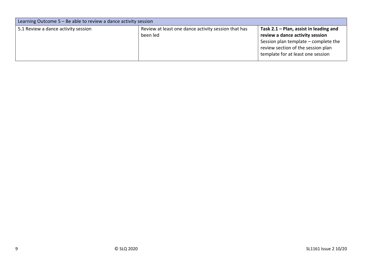| Learning Outcome 5 – Be able to review a dance activity session |                                                                 |                                                                                                                                                                                                |  |
|-----------------------------------------------------------------|-----------------------------------------------------------------|------------------------------------------------------------------------------------------------------------------------------------------------------------------------------------------------|--|
| 5.1 Review a dance activity session                             | Review at least one dance activity session that has<br>been led | Task $2.1$ – Plan, assist in leading and<br>review a dance activity session<br>Session plan template – complete the<br>review section of the session plan<br>template for at least one session |  |